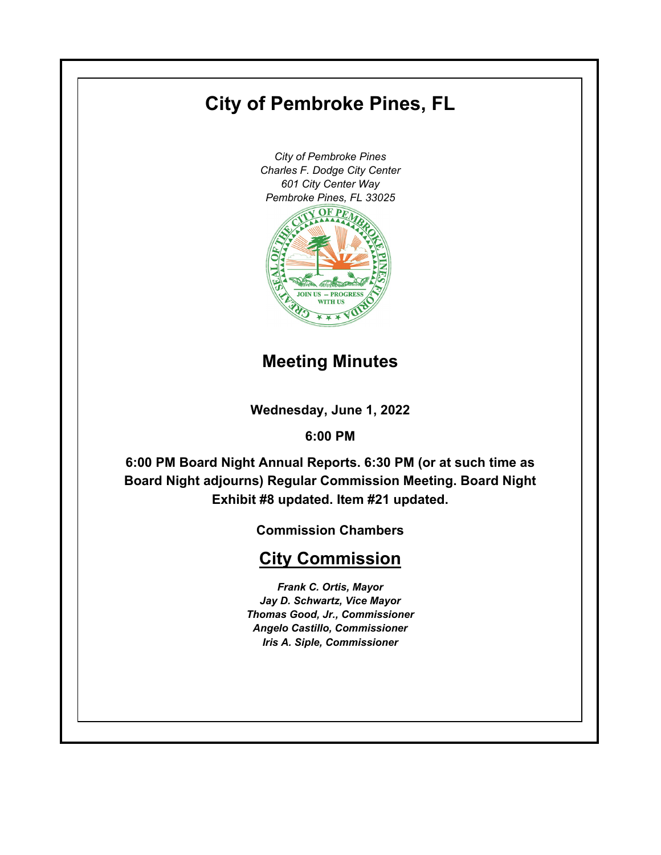# **City of Pembroke Pines, FL**

*City of Pembroke Pines Charles F. Dodge City Center 601 City Center Way Pembroke Pines, FL 33025*



# **Meeting Minutes**

**Wednesday, June 1, 2022**

**6:00 PM**

**6:00 PM Board Night Annual Reports. 6:30 PM (or at such time as Board Night adjourns) Regular Commission Meeting. Board Night Exhibit #8 updated. Item #21 updated.**

**Commission Chambers**

# **City Commission**

*Frank C. Ortis, Mayor Jay D. Schwartz, Vice Mayor Thomas Good, Jr., Commissioner Angelo Castillo, Commissioner Iris A. Siple, Commissioner*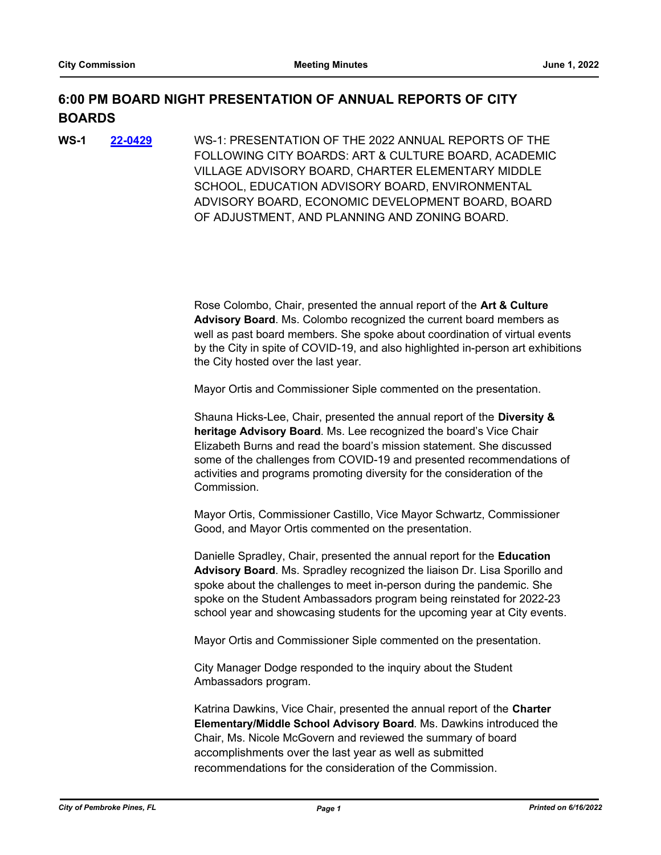# **6:00 PM BOARD NIGHT PRESENTATION OF ANNUAL REPORTS OF CITY BOARDS**

WS-1: PRESENTATION OF THE 2022 ANNUAL REPORTS OF THE FOLLOWING CITY BOARDS: ART & CULTURE BOARD, ACADEMIC VILLAGE ADVISORY BOARD, CHARTER ELEMENTARY MIDDLE SCHOOL, EDUCATION ADVISORY BOARD, ENVIRONMENTAL ADVISORY BOARD, ECONOMIC DEVELOPMENT BOARD, BOARD OF ADJUSTMENT, AND PLANNING AND ZONING BOARD. **WS-1 [22-0429](http://ppines.legistar.com/gateway.aspx?m=l&id=/matter.aspx?key=15363)**

> Rose Colombo, Chair, presented the annual report of the **Art & Culture Advisory Board**. Ms. Colombo recognized the current board members as well as past board members. She spoke about coordination of virtual events by the City in spite of COVID-19, and also highlighted in-person art exhibitions the City hosted over the last year.

Mayor Ortis and Commissioner Siple commented on the presentation.

Shauna Hicks-Lee, Chair, presented the annual report of the **Diversity & heritage Advisory Board**. Ms. Lee recognized the board's Vice Chair Elizabeth Burns and read the board's mission statement. She discussed some of the challenges from COVID-19 and presented recommendations of activities and programs promoting diversity for the consideration of the Commission.

Mayor Ortis, Commissioner Castillo, Vice Mayor Schwartz, Commissioner Good, and Mayor Ortis commented on the presentation.

Danielle Spradley, Chair, presented the annual report for the **Education Advisory Board**. Ms. Spradley recognized the liaison Dr. Lisa Sporillo and spoke about the challenges to meet in-person during the pandemic. She spoke on the Student Ambassadors program being reinstated for 2022-23 school year and showcasing students for the upcoming year at City events.

Mayor Ortis and Commissioner Siple commented on the presentation.

City Manager Dodge responded to the inquiry about the Student Ambassadors program.

Katrina Dawkins, Vice Chair, presented the annual report of the **Charter Elementary/Middle School Advisory Board**. Ms. Dawkins introduced the Chair, Ms. Nicole McGovern and reviewed the summary of board accomplishments over the last year as well as submitted recommendations for the consideration of the Commission.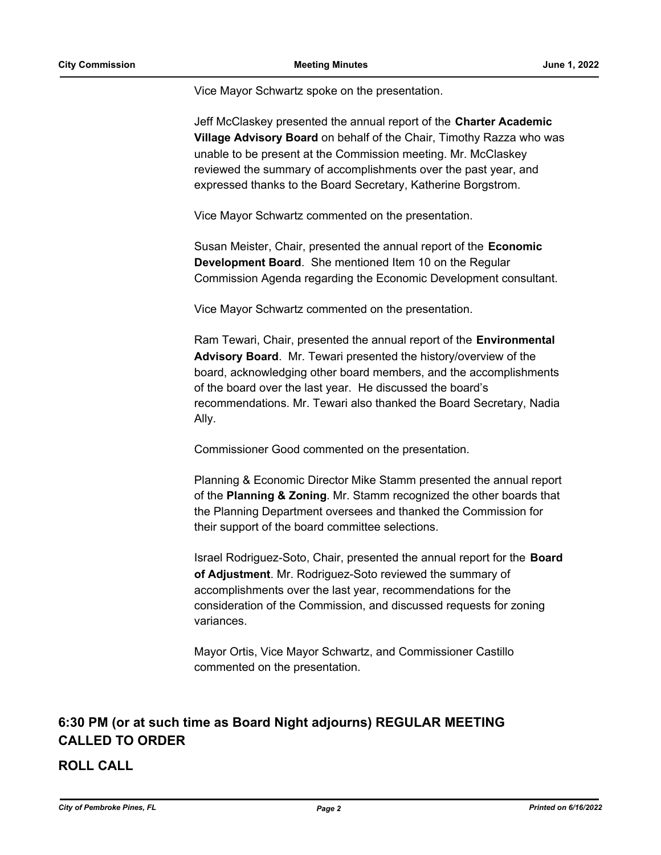Vice Mayor Schwartz spoke on the presentation.

Jeff McClaskey presented the annual report of the **Charter Academic Village Advisory Board** on behalf of the Chair, Timothy Razza who was unable to be present at the Commission meeting. Mr. McClaskey reviewed the summary of accomplishments over the past year, and expressed thanks to the Board Secretary, Katherine Borgstrom.

Vice Mayor Schwartz commented on the presentation.

Susan Meister, Chair, presented the annual report of the **Economic Development Board**. She mentioned Item 10 on the Regular Commission Agenda regarding the Economic Development consultant.

Vice Mayor Schwartz commented on the presentation.

Ram Tewari, Chair, presented the annual report of the **Environmental Advisory Board**. Mr. Tewari presented the history/overview of the board, acknowledging other board members, and the accomplishments of the board over the last year. He discussed the board's recommendations. Mr. Tewari also thanked the Board Secretary, Nadia Ally.

Commissioner Good commented on the presentation.

Planning & Economic Director Mike Stamm presented the annual report of the **Planning & Zoning**. Mr. Stamm recognized the other boards that the Planning Department oversees and thanked the Commission for their support of the board committee selections.

Israel Rodriguez-Soto, Chair, presented the annual report for the **Board of Adjustment**. Mr. Rodriguez-Soto reviewed the summary of accomplishments over the last year, recommendations for the consideration of the Commission, and discussed requests for zoning variances.

Mayor Ortis, Vice Mayor Schwartz, and Commissioner Castillo commented on the presentation.

# **6:30 PM (or at such time as Board Night adjourns) REGULAR MEETING CALLED TO ORDER**

**ROLL CALL**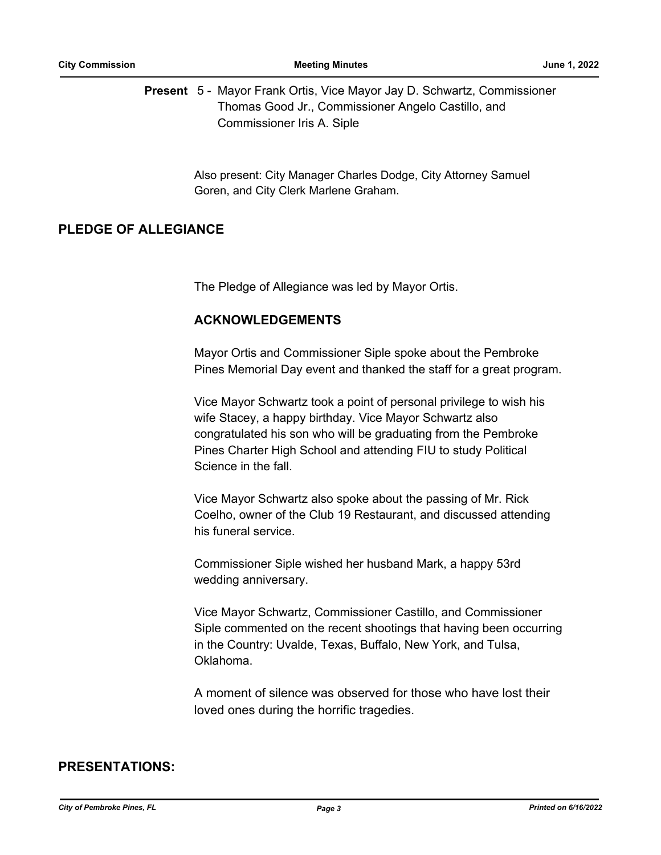Present 5 - Mayor Frank Ortis, Vice Mayor Jay D. Schwartz, Commissioner Thomas Good Jr., Commissioner Angelo Castillo, and Commissioner Iris A. Siple

> Also present: City Manager Charles Dodge, City Attorney Samuel Goren, and City Clerk Marlene Graham.

# **PLEDGE OF ALLEGIANCE**

The Pledge of Allegiance was led by Mayor Ortis.

# **ACKNOWLEDGEMENTS**

Mayor Ortis and Commissioner Siple spoke about the Pembroke Pines Memorial Day event and thanked the staff for a great program.

Vice Mayor Schwartz took a point of personal privilege to wish his wife Stacey, a happy birthday. Vice Mayor Schwartz also congratulated his son who will be graduating from the Pembroke Pines Charter High School and attending FIU to study Political Science in the fall.

Vice Mayor Schwartz also spoke about the passing of Mr. Rick Coelho, owner of the Club 19 Restaurant, and discussed attending his funeral service.

Commissioner Siple wished her husband Mark, a happy 53rd wedding anniversary.

Vice Mayor Schwartz, Commissioner Castillo, and Commissioner Siple commented on the recent shootings that having been occurring in the Country: Uvalde, Texas, Buffalo, New York, and Tulsa, Oklahoma.

A moment of silence was observed for those who have lost their loved ones during the horrific tragedies.

# **PRESENTATIONS:**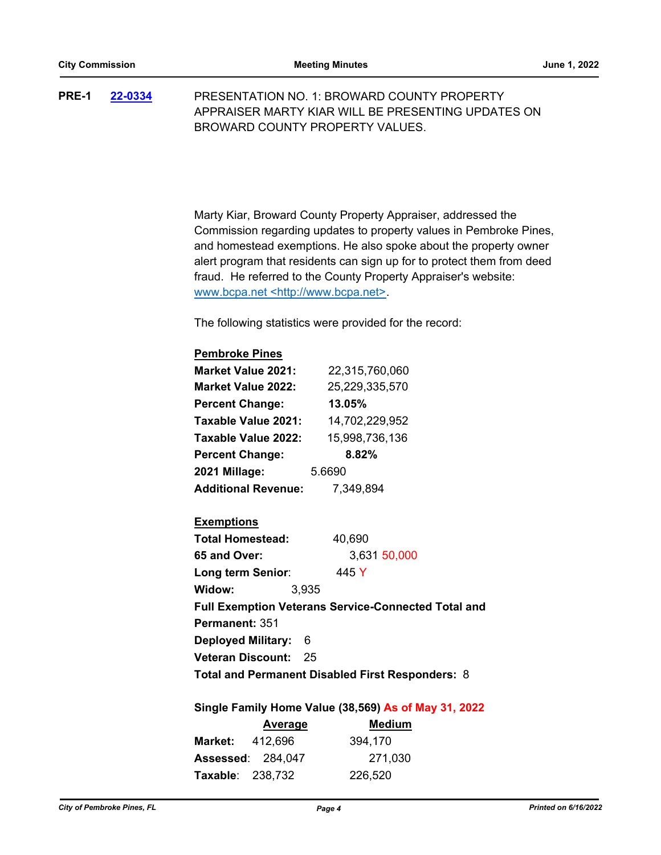PRESENTATION NO. 1: BROWARD COUNTY PROPERTY APPRAISER MARTY KIAR WILL BE PRESENTING UPDATES ON BROWARD COUNTY PROPERTY VALUES. **PRE-1 [22-0334](http://ppines.legistar.com/gateway.aspx?m=l&id=/matter.aspx?key=15272)**

> Marty Kiar, Broward County Property Appraiser, addressed the Commission regarding updates to property values in Pembroke Pines, and homestead exemptions. He also spoke about the property owner alert program that residents can sign up for to protect them from deed fraud. He referred to the County Property Appraiser's website: www.bcpa.net <http://www.bcpa.net>.

The following statistics were provided for the record:

### **Pembroke Pines Market Value 2021:** 22,315,760,060

| MAI NUL VAIUU LUL I .      | <b>22.010.100.000</b> |  |
|----------------------------|-----------------------|--|
| <b>Market Value 2022:</b>  | 25,229,335,570        |  |
| <b>Percent Change:</b>     | 13.05%                |  |
| Taxable Value 2021:        | 14,702,229,952        |  |
| Taxable Value 2022:        | 15,998,736,136        |  |
| <b>Percent Change:</b>     | 8.82%                 |  |
| 2021 Millage:              | 5.6690                |  |
| <b>Additional Revenue:</b> | 7,349,894             |  |

# **Exemptions**

| <b>Total Homestead:</b>                                    | 40,690       |  |  |  |
|------------------------------------------------------------|--------------|--|--|--|
| 65 and Over:                                               | 3,631 50,000 |  |  |  |
| Long term Senior:                                          | 445 Y        |  |  |  |
| Widow:                                                     | 3,935        |  |  |  |
| <b>Full Exemption Veterans Service-Connected Total and</b> |              |  |  |  |
| <b>Permanent: 351</b>                                      |              |  |  |  |
| Deployed Military: 6                                       |              |  |  |  |
| <b>Veteran Discount: 25</b>                                |              |  |  |  |
| Total and Permanent Disabled First Responders: 8           |              |  |  |  |

### **Single Family Home Value (38,569) As of May 31, 2022**

|                         | Average                  | <b>Medium</b> |
|-------------------------|--------------------------|---------------|
| <b>Market: 412.696</b>  |                          | 394,170       |
|                         | <b>Assessed: 284,047</b> | 271,030       |
| <b>Taxable: 238,732</b> |                          | 226,520       |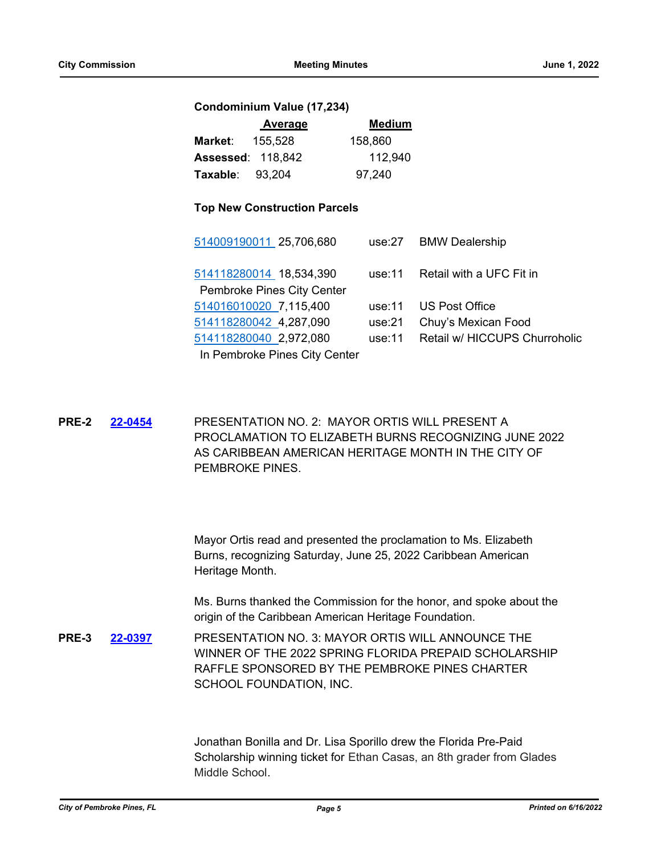#### **Condominium Value (17,234)**

|                        | Average                  | <b>Medium</b> |
|------------------------|--------------------------|---------------|
| Market:                | 155.528                  | 158.860       |
|                        | <b>Assessed: 118,842</b> | 112,940       |
| <b>Taxable: 93.204</b> |                          | 97,240        |

### **Top New Construction Parcels**

| 514009190011 25,706,680                               |           | use:27 BMW Dealership         |
|-------------------------------------------------------|-----------|-------------------------------|
| 514118280014 18,534,390<br>Pembroke Pines City Center | use:11    | Retail with a UFC Fit in      |
|                                                       |           |                               |
| 514016010020 7,115,400                                | use: $11$ | <b>US Post Office</b>         |
| 514118280042 4,287,090                                | use:21    | Chuy's Mexican Food           |
| 514118280040 2,972,080                                | use:11    | Retail w/ HICCUPS Churroholic |
| In Pembroke Pines City Center                         |           |                               |

PRESENTATION NO. 2: MAYOR ORTIS WILL PRESENT A PROCLAMATION TO ELIZABETH BURNS RECOGNIZING JUNE 2022 AS CARIBBEAN AMERICAN HERITAGE MONTH IN THE CITY OF PEMBROKE PINES. **PRE-2 [22-0454](http://ppines.legistar.com/gateway.aspx?m=l&id=/matter.aspx?key=15388)**

> Mayor Ortis read and presented the proclamation to Ms. Elizabeth Burns, recognizing Saturday, June 25, 2022 Caribbean American Heritage Month.

Ms. Burns thanked the Commission for the honor, and spoke about the origin of the Caribbean American Heritage Foundation.

PRESENTATION NO. 3: MAYOR ORTIS WILL ANNOUNCE THE WINNER OF THE 2022 SPRING FLORIDA PREPAID SCHOLARSHIP RAFFLE SPONSORED BY THE PEMBROKE PINES CHARTER SCHOOL FOUNDATION, INC. **PRE-3 [22-0397](http://ppines.legistar.com/gateway.aspx?m=l&id=/matter.aspx?key=15335)**

> Jonathan Bonilla and Dr. Lisa Sporillo drew the Florida Pre-Paid Scholarship winning ticket for Ethan Casas, an 8th grader from Glades Middle School.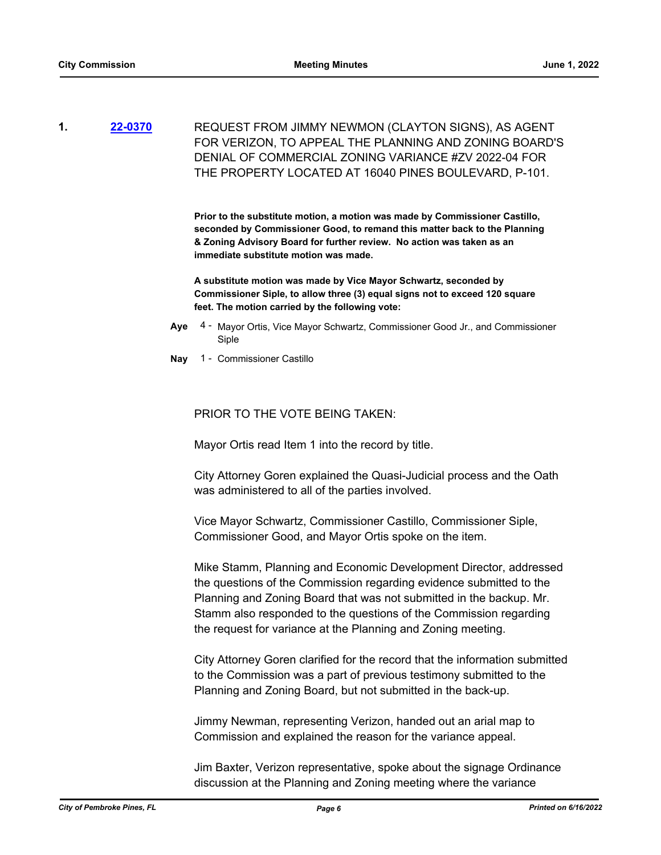REQUEST FROM JIMMY NEWMON (CLAYTON SIGNS), AS AGENT FOR VERIZON, TO APPEAL THE PLANNING AND ZONING BOARD'S DENIAL OF COMMERCIAL ZONING VARIANCE #ZV 2022-04 FOR THE PROPERTY LOCATED AT 16040 PINES BOULEVARD, P-101. **1. [22-0370](http://ppines.legistar.com/gateway.aspx?m=l&id=/matter.aspx?key=15307)**

> **Prior to the substitute motion, a motion was made by Commissioner Castillo, seconded by Commissioner Good, to remand this matter back to the Planning & Zoning Advisory Board for further review. No action was taken as an immediate substitute motion was made.**

**A substitute motion was made by Vice Mayor Schwartz, seconded by Commissioner Siple, to allow three (3) equal signs not to exceed 120 square feet. The motion carried by the following vote:**

- Aye 4 Mayor Ortis, Vice Mayor Schwartz, Commissioner Good Jr., and Commissioner Siple
- **Nay** 1 Commissioner Castillo

### PRIOR TO THE VOTE BEING TAKEN:

Mayor Ortis read Item 1 into the record by title.

City Attorney Goren explained the Quasi-Judicial process and the Oath was administered to all of the parties involved.

Vice Mayor Schwartz, Commissioner Castillo, Commissioner Siple, Commissioner Good, and Mayor Ortis spoke on the item.

Mike Stamm, Planning and Economic Development Director, addressed the questions of the Commission regarding evidence submitted to the Planning and Zoning Board that was not submitted in the backup. Mr. Stamm also responded to the questions of the Commission regarding the request for variance at the Planning and Zoning meeting.

City Attorney Goren clarified for the record that the information submitted to the Commission was a part of previous testimony submitted to the Planning and Zoning Board, but not submitted in the back-up.

Jimmy Newman, representing Verizon, handed out an arial map to Commission and explained the reason for the variance appeal.

Jim Baxter, Verizon representative, spoke about the signage Ordinance discussion at the Planning and Zoning meeting where the variance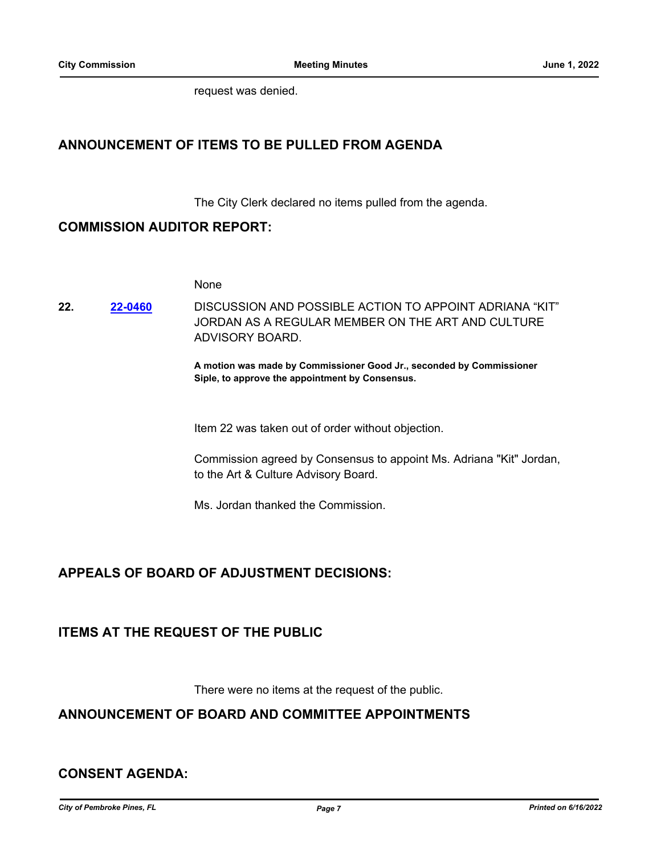request was denied.

# **ANNOUNCEMENT OF ITEMS TO BE PULLED FROM AGENDA**

The City Clerk declared no items pulled from the agenda.

# **COMMISSION AUDITOR REPORT:**

None

DISCUSSION AND POSSIBLE ACTION TO APPOINT ADRIANA "KIT" JORDAN AS A REGULAR MEMBER ON THE ART AND CULTURE ADVISORY BOARD. **22. [22-0460](http://ppines.legistar.com/gateway.aspx?m=l&id=/matter.aspx?key=15394)**

> **A motion was made by Commissioner Good Jr., seconded by Commissioner Siple, to approve the appointment by Consensus.**

Item 22 was taken out of order without objection.

Commission agreed by Consensus to appoint Ms. Adriana "Kit" Jordan, to the Art & Culture Advisory Board.

Ms. Jordan thanked the Commission.

# **APPEALS OF BOARD OF ADJUSTMENT DECISIONS:**

# **ITEMS AT THE REQUEST OF THE PUBLIC**

There were no items at the request of the public.

# **ANNOUNCEMENT OF BOARD AND COMMITTEE APPOINTMENTS**

# **CONSENT AGENDA:**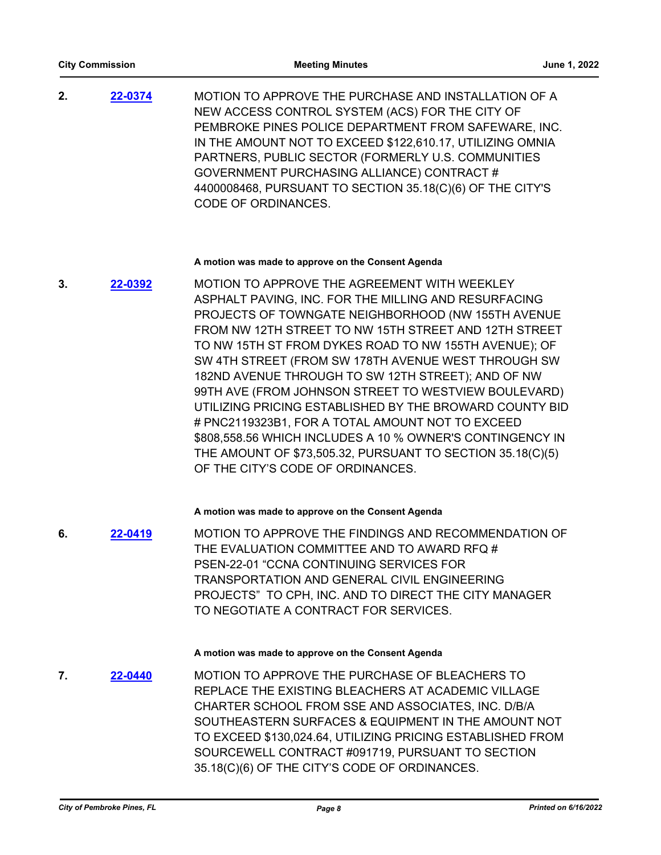MOTION TO APPROVE THE PURCHASE AND INSTALLATION OF A NEW ACCESS CONTROL SYSTEM (ACS) FOR THE CITY OF PEMBROKE PINES POLICE DEPARTMENT FROM SAFEWARE, INC. IN THE AMOUNT NOT TO EXCEED \$122,610.17, UTILIZING OMNIA PARTNERS, PUBLIC SECTOR (FORMERLY U.S. COMMUNITIES GOVERNMENT PURCHASING ALLIANCE) CONTRACT # 4400008468, PURSUANT TO SECTION 35.18(C)(6) OF THE CITY'S CODE OF ORDINANCES. **2. [22-0374](http://ppines.legistar.com/gateway.aspx?m=l&id=/matter.aspx?key=15310)**

#### **A motion was made to approve on the Consent Agenda**

MOTION TO APPROVE THE AGREEMENT WITH WEEKLEY ASPHALT PAVING, INC. FOR THE MILLING AND RESURFACING PROJECTS OF TOWNGATE NEIGHBORHOOD (NW 155TH AVENUE FROM NW 12TH STREET TO NW 15TH STREET AND 12TH STREET TO NW 15TH ST FROM DYKES ROAD TO NW 155TH AVENUE); OF SW 4TH STREET (FROM SW 178TH AVENUE WEST THROUGH SW 182ND AVENUE THROUGH TO SW 12TH STREET); AND OF NW 99TH AVE (FROM JOHNSON STREET TO WESTVIEW BOULEVARD) UTILIZING PRICING ESTABLISHED BY THE BROWARD COUNTY BID # PNC2119323B1, FOR A TOTAL AMOUNT NOT TO EXCEED \$808,558.56 WHICH INCLUDES A 10 % OWNER'S CONTINGENCY IN THE AMOUNT OF \$73,505.32, PURSUANT TO SECTION 35.18(C)(5) OF THE CITY'S CODE OF ORDINANCES. **3. [22-0392](http://ppines.legistar.com/gateway.aspx?m=l&id=/matter.aspx?key=15330)**

#### **A motion was made to approve on the Consent Agenda**

MOTION TO APPROVE THE FINDINGS AND RECOMMENDATION OF THE EVALUATION COMMITTEE AND TO AWARD RFQ # PSEN-22-01 "CCNA CONTINUING SERVICES FOR TRANSPORTATION AND GENERAL CIVIL ENGINEERING PROJECTS" TO CPH, INC. AND TO DIRECT THE CITY MANAGER TO NEGOTIATE A CONTRACT FOR SERVICES. **6. [22-0419](http://ppines.legistar.com/gateway.aspx?m=l&id=/matter.aspx?key=15353)**

#### **A motion was made to approve on the Consent Agenda**

MOTION TO APPROVE THE PURCHASE OF BLEACHERS TO REPLACE THE EXISTING BLEACHERS AT ACADEMIC VILLAGE CHARTER SCHOOL FROM SSE AND ASSOCIATES, INC. D/B/A SOUTHEASTERN SURFACES & EQUIPMENT IN THE AMOUNT NOT TO EXCEED \$130,024.64, UTILIZING PRICING ESTABLISHED FROM SOURCEWELL CONTRACT #091719, PURSUANT TO SECTION 35.18(C)(6) OF THE CITY'S CODE OF ORDINANCES. **7. [22-0440](http://ppines.legistar.com/gateway.aspx?m=l&id=/matter.aspx?key=15374)**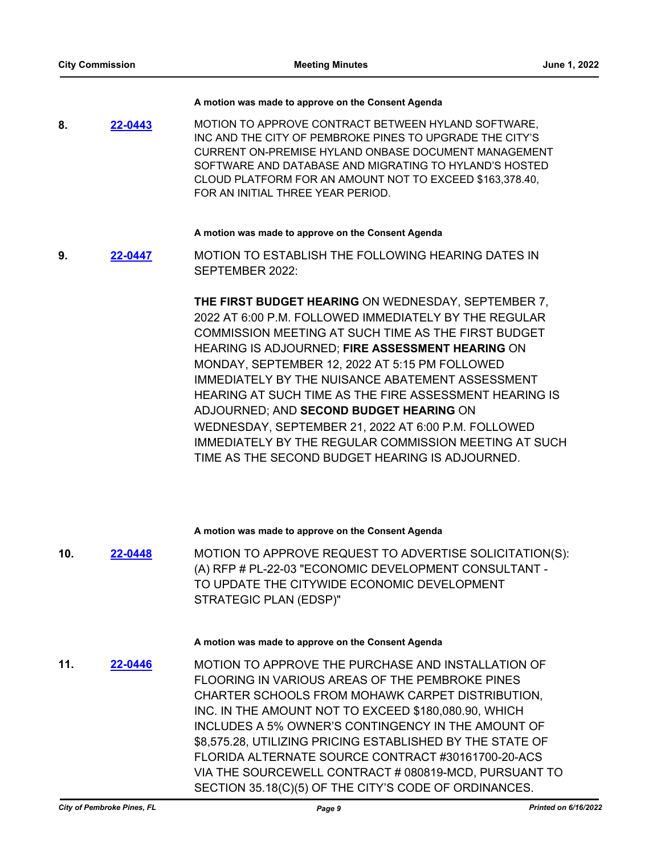#### **A motion was made to approve on the Consent Agenda**

MOTION TO APPROVE CONTRACT BETWEEN HYLAND SOFTWARE, INC AND THE CITY OF PEMBROKE PINES TO UPGRADE THE CITY'S CURRENT ON-PREMISE HYLAND ONBASE DOCUMENT MANAGEMENT SOFTWARE AND DATABASE AND MIGRATING TO HYLAND'S HOSTED CLOUD PLATFORM FOR AN AMOUNT NOT TO EXCEED \$163,378.40, FOR AN INITIAL THREE YEAR PERIOD. **8. [22-0443](http://ppines.legistar.com/gateway.aspx?m=l&id=/matter.aspx?key=15377)**

#### **A motion was made to approve on the Consent Agenda**

MOTION TO ESTABLISH THE FOLLOWING HEARING DATES IN SEPTEMBER 2022: **9. [22-0447](http://ppines.legistar.com/gateway.aspx?m=l&id=/matter.aspx?key=15381)**

> **THE FIRST BUDGET HEARING** ON WEDNESDAY, SEPTEMBER 7, 2022 AT 6:00 P.M. FOLLOWED IMMEDIATELY BY THE REGULAR COMMISSION MEETING AT SUCH TIME AS THE FIRST BUDGET HEARING IS ADJOURNED; **FIRE ASSESSMENT HEARING** ON MONDAY, SEPTEMBER 12, 2022 AT 5:15 PM FOLLOWED IMMEDIATELY BY THE NUISANCE ABATEMENT ASSESSMENT HEARING AT SUCH TIME AS THE FIRE ASSESSMENT HEARING IS ADJOURNED; AND **SECOND BUDGET HEARING** ON WEDNESDAY, SEPTEMBER 21, 2022 AT 6:00 P.M. FOLLOWED IMMEDIATELY BY THE REGULAR COMMISSION MEETING AT SUCH TIME AS THE SECOND BUDGET HEARING IS ADJOURNED.

#### **A motion was made to approve on the Consent Agenda**

MOTION TO APPROVE REQUEST TO ADVERTISE SOLICITATION(S): (A) RFP # PL-22-03 "ECONOMIC DEVELOPMENT CONSULTANT - TO UPDATE THE CITYWIDE ECONOMIC DEVELOPMENT STRATEGIC PLAN (EDSP)" **10. [22-0448](http://ppines.legistar.com/gateway.aspx?m=l&id=/matter.aspx?key=15382)**

#### **A motion was made to approve on the Consent Agenda**

MOTION TO APPROVE THE PURCHASE AND INSTALLATION OF FLOORING IN VARIOUS AREAS OF THE PEMBROKE PINES CHARTER SCHOOLS FROM MOHAWK CARPET DISTRIBUTION, INC. IN THE AMOUNT NOT TO EXCEED \$180,080.90, WHICH INCLUDES A 5% OWNER'S CONTINGENCY IN THE AMOUNT OF \$8,575.28, UTILIZING PRICING ESTABLISHED BY THE STATE OF FLORIDA ALTERNATE SOURCE CONTRACT #30161700-20-ACS VIA THE SOURCEWELL CONTRACT # 080819-MCD, PURSUANT TO SECTION 35.18(C)(5) OF THE CITY'S CODE OF ORDINANCES. **11. [22-0446](http://ppines.legistar.com/gateway.aspx?m=l&id=/matter.aspx?key=15380)**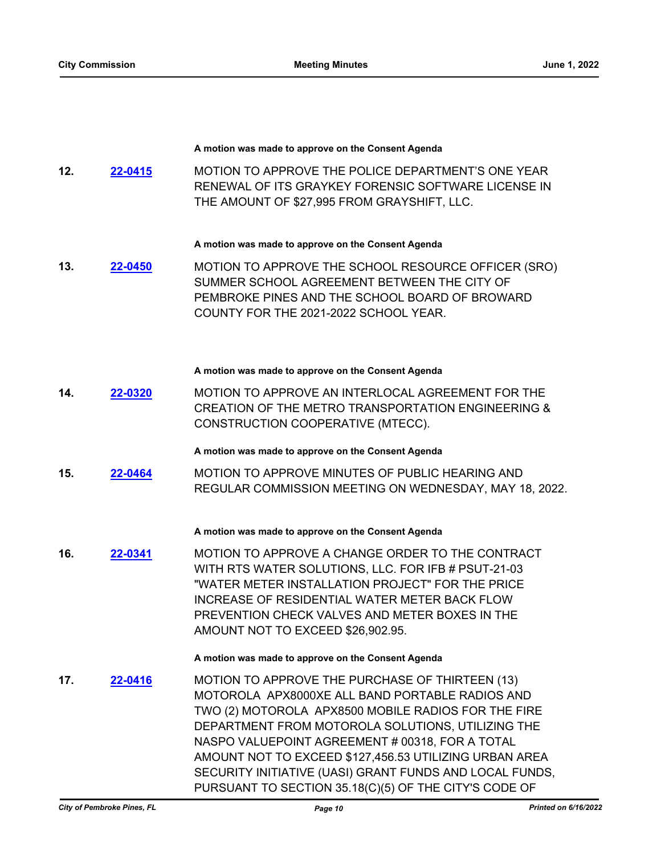#### **A motion was made to approve on the Consent Agenda**

MOTION TO APPROVE THE POLICE DEPARTMENT'S ONE YEAR RENEWAL OF ITS GRAYKEY FORENSIC SOFTWARE LICENSE IN THE AMOUNT OF \$27,995 FROM GRAYSHIFT, LLC. **12. [22-0415](http://ppines.legistar.com/gateway.aspx?m=l&id=/matter.aspx?key=15349)**

#### **A motion was made to approve on the Consent Agenda**

MOTION TO APPROVE THE SCHOOL RESOURCE OFFICER (SRO) SUMMER SCHOOL AGREEMENT BETWEEN THE CITY OF PEMBROKE PINES AND THE SCHOOL BOARD OF BROWARD COUNTY FOR THE 2021-2022 SCHOOL YEAR. **13. [22-0450](http://ppines.legistar.com/gateway.aspx?m=l&id=/matter.aspx?key=15384)**

#### **A motion was made to approve on the Consent Agenda**

MOTION TO APPROVE AN INTERLOCAL AGREEMENT FOR THE CREATION OF THE METRO TRANSPORTATION ENGINEERING & CONSTRUCTION COOPERATIVE (MTECC). **14. [22-0320](http://ppines.legistar.com/gateway.aspx?m=l&id=/matter.aspx?key=15258)**

**A motion was made to approve on the Consent Agenda**

MOTION TO APPROVE MINUTES OF PUBLIC HEARING AND REGULAR COMMISSION MEETING ON WEDNESDAY, MAY 18, 2022. **15. [22-0464](http://ppines.legistar.com/gateway.aspx?m=l&id=/matter.aspx?key=15398)**

#### **A motion was made to approve on the Consent Agenda**

MOTION TO APPROVE A CHANGE ORDER TO THE CONTRACT WITH RTS WATER SOLUTIONS, LLC. FOR IFB # PSUT-21-03 "WATER METER INSTALLATION PROJECT" FOR THE PRICE INCREASE OF RESIDENTIAL WATER METER BACK FLOW PREVENTION CHECK VALVES AND METER BOXES IN THE AMOUNT NOT TO EXCEED \$26,902.95. **16. [22-0341](http://ppines.legistar.com/gateway.aspx?m=l&id=/matter.aspx?key=15279)**

**A motion was made to approve on the Consent Agenda**

MOTION TO APPROVE THE PURCHASE OF THIRTEEN (13) MOTOROLA APX8000XE ALL BAND PORTABLE RADIOS AND TWO (2) MOTOROLA APX8500 MOBILE RADIOS FOR THE FIRE DEPARTMENT FROM MOTOROLA SOLUTIONS, UTILIZING THE NASPO VALUEPOINT AGREEMENT # 00318, FOR A TOTAL AMOUNT NOT TO EXCEED \$127,456.53 UTILIZING URBAN AREA SECURITY INITIATIVE (UASI) GRANT FUNDS AND LOCAL FUNDS, PURSUANT TO SECTION 35.18(C)(5) OF THE CITY'S CODE OF **17. [22-0416](http://ppines.legistar.com/gateway.aspx?m=l&id=/matter.aspx?key=15350)**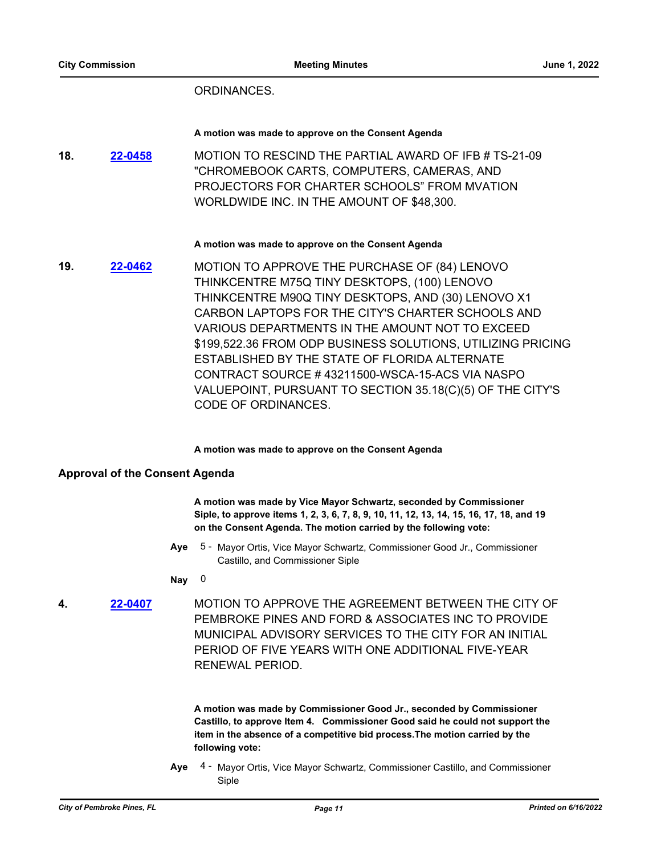### ORDINANCES.

#### **A motion was made to approve on the Consent Agenda**

MOTION TO RESCIND THE PARTIAL AWARD OF IFB # TS-21-09 "CHROMEBOOK CARTS, COMPUTERS, CAMERAS, AND PROJECTORS FOR CHARTER SCHOOLS" FROM MVATION WORLDWIDE INC. IN THE AMOUNT OF \$48,300. **18. [22-0458](http://ppines.legistar.com/gateway.aspx?m=l&id=/matter.aspx?key=15392)**

#### **A motion was made to approve on the Consent Agenda**

MOTION TO APPROVE THE PURCHASE OF (84) LENOVO THINKCENTRE M75Q TINY DESKTOPS, (100) LENOVO THINKCENTRE M90Q TINY DESKTOPS, AND (30) LENOVO X1 CARBON LAPTOPS FOR THE CITY'S CHARTER SCHOOLS AND VARIOUS DEPARTMENTS IN THE AMOUNT NOT TO EXCEED \$199,522.36 FROM ODP BUSINESS SOLUTIONS, UTILIZING PRICING ESTABLISHED BY THE STATE OF FLORIDA ALTERNATE CONTRACT SOURCE # 43211500-WSCA-15-ACS VIA NASPO VALUEPOINT, PURSUANT TO SECTION 35.18(C)(5) OF THE CITY'S CODE OF ORDINANCES. **19. [22-0462](http://ppines.legistar.com/gateway.aspx?m=l&id=/matter.aspx?key=15396)**

#### **A motion was made to approve on the Consent Agenda**

### **Approval of the Consent Agenda**

**A motion was made by Vice Mayor Schwartz, seconded by Commissioner Siple, to approve items 1, 2, 3, 6, 7, 8, 9, 10, 11, 12, 13, 14, 15, 16, 17, 18, and 19 on the Consent Agenda. The motion carried by the following vote:**

Aye 5 - Mayor Ortis, Vice Mayor Schwartz, Commissioner Good Jr., Commissioner Castillo, and Commissioner Siple

#### **Nay** 0

MOTION TO APPROVE THE AGREEMENT BETWEEN THE CITY OF PEMBROKE PINES AND FORD & ASSOCIATES INC TO PROVIDE MUNICIPAL ADVISORY SERVICES TO THE CITY FOR AN INITIAL PERIOD OF FIVE YEARS WITH ONE ADDITIONAL FIVE-YEAR RENEWAL PERIOD. **4. [22-0407](http://ppines.legistar.com/gateway.aspx?m=l&id=/matter.aspx?key=15345)**

> **A motion was made by Commissioner Good Jr., seconded by Commissioner Castillo, to approve Item 4. Commissioner Good said he could not support the item in the absence of a competitive bid process.The motion carried by the following vote:**

Aye 4 - Mayor Ortis, Vice Mayor Schwartz, Commissioner Castillo, and Commissioner Siple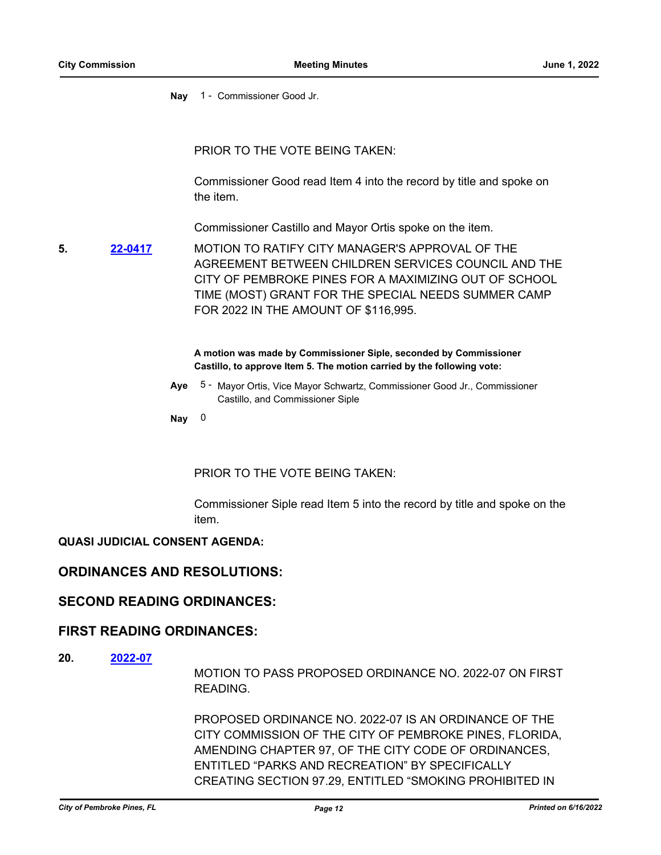**Nay** 1 - Commissioner Good Jr.

PRIOR TO THE VOTE BEING TAKEN:

Commissioner Good read Item 4 into the record by title and spoke on the item.

Commissioner Castillo and Mayor Ortis spoke on the item.

MOTION TO RATIFY CITY MANAGER'S APPROVAL OF THE AGREEMENT BETWEEN CHILDREN SERVICES COUNCIL AND THE CITY OF PEMBROKE PINES FOR A MAXIMIZING OUT OF SCHOOL TIME (MOST) GRANT FOR THE SPECIAL NEEDS SUMMER CAMP FOR 2022 IN THE AMOUNT OF \$116,995. **5. [22-0417](http://ppines.legistar.com/gateway.aspx?m=l&id=/matter.aspx?key=15351)**

> **A motion was made by Commissioner Siple, seconded by Commissioner Castillo, to approve Item 5. The motion carried by the following vote:**

Aye 5 - Mayor Ortis, Vice Mayor Schwartz, Commissioner Good Jr., Commissioner Castillo, and Commissioner Siple

**Nay** 0

PRIOR TO THE VOTE BEING TAKEN:

Commissioner Siple read Item 5 into the record by title and spoke on the item.

### **QUASI JUDICIAL CONSENT AGENDA:**

### **ORDINANCES AND RESOLUTIONS:**

### **SECOND READING ORDINANCES:**

### **FIRST READING ORDINANCES:**

**20. [2022-07](http://ppines.legistar.com/gateway.aspx?m=l&id=/matter.aspx?key=15375)**

MOTION TO PASS PROPOSED ORDINANCE NO. 2022-07 ON FIRST READING.

PROPOSED ORDINANCE NO. 2022-07 IS AN ORDINANCE OF THE CITY COMMISSION OF THE CITY OF PEMBROKE PINES, FLORIDA, AMENDING CHAPTER 97, OF THE CITY CODE OF ORDINANCES, ENTITLED "PARKS AND RECREATION" BY SPECIFICALLY CREATING SECTION 97.29, ENTITLED "SMOKING PROHIBITED IN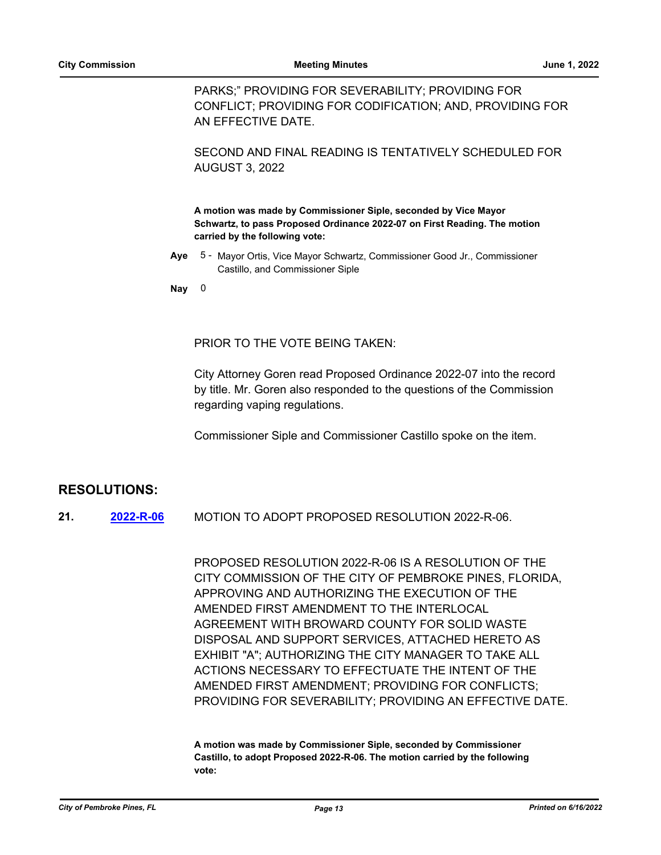PARKS;" PROVIDING FOR SEVERABILITY; PROVIDING FOR CONFLICT; PROVIDING FOR CODIFICATION; AND, PROVIDING FOR AN EFFECTIVE DATE.

SECOND AND FINAL READING IS TENTATIVELY SCHEDULED FOR AUGUST 3, 2022

**A motion was made by Commissioner Siple, seconded by Vice Mayor Schwartz, to pass Proposed Ordinance 2022-07 on First Reading. The motion carried by the following vote:**

Aye 5 - Mayor Ortis, Vice Mayor Schwartz, Commissioner Good Jr., Commissioner Castillo, and Commissioner Siple

**Nay** 0

PRIOR TO THE VOTE BEING TAKEN:

City Attorney Goren read Proposed Ordinance 2022-07 into the record by title. Mr. Goren also responded to the questions of the Commission regarding vaping regulations.

Commissioner Siple and Commissioner Castillo spoke on the item.

### **RESOLUTIONS:**

MOTION TO ADOPT PROPOSED RESOLUTION 2022-R-06. **21. [2022-R-06](http://ppines.legistar.com/gateway.aspx?m=l&id=/matter.aspx?key=15053)**

> PROPOSED RESOLUTION 2022-R-06 IS A RESOLUTION OF THE CITY COMMISSION OF THE CITY OF PEMBROKE PINES, FLORIDA, APPROVING AND AUTHORIZING THE EXECUTION OF THE AMENDED FIRST AMENDMENT TO THE INTERLOCAL AGREEMENT WITH BROWARD COUNTY FOR SOLID WASTE DISPOSAL AND SUPPORT SERVICES, ATTACHED HERETO AS EXHIBIT "A"; AUTHORIZING THE CITY MANAGER TO TAKE ALL ACTIONS NECESSARY TO EFFECTUATE THE INTENT OF THE AMENDED FIRST AMENDMENT; PROVIDING FOR CONFLICTS; PROVIDING FOR SEVERABILITY; PROVIDING AN EFFECTIVE DATE.

**A motion was made by Commissioner Siple, seconded by Commissioner Castillo, to adopt Proposed 2022-R-06. The motion carried by the following vote:**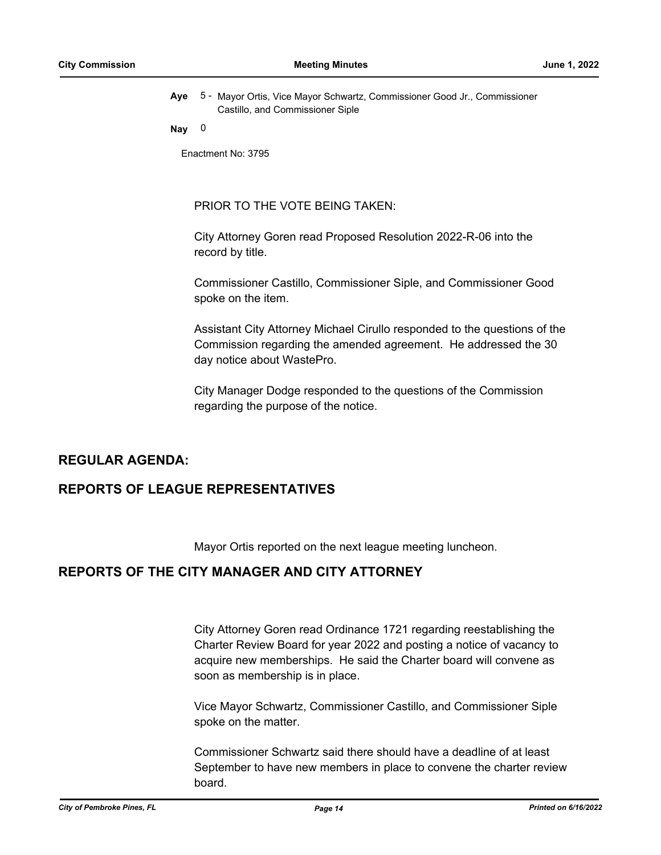Aye 5 - Mayor Ortis, Vice Mayor Schwartz, Commissioner Good Jr., Commissioner Castillo, and Commissioner Siple

### **Nay** 0

Enactment No: 3795

PRIOR TO THE VOTE BEING TAKEN:

City Attorney Goren read Proposed Resolution 2022-R-06 into the record by title.

Commissioner Castillo, Commissioner Siple, and Commissioner Good spoke on the item.

Assistant City Attorney Michael Cirullo responded to the questions of the Commission regarding the amended agreement. He addressed the 30 day notice about WastePro.

City Manager Dodge responded to the questions of the Commission regarding the purpose of the notice.

### **REGULAR AGENDA:**

# **REPORTS OF LEAGUE REPRESENTATIVES**

Mayor Ortis reported on the next league meeting luncheon.

# **REPORTS OF THE CITY MANAGER AND CITY ATTORNEY**

City Attorney Goren read Ordinance 1721 regarding reestablishing the Charter Review Board for year 2022 and posting a notice of vacancy to acquire new memberships. He said the Charter board will convene as soon as membership is in place.

Vice Mayor Schwartz, Commissioner Castillo, and Commissioner Siple spoke on the matter.

Commissioner Schwartz said there should have a deadline of at least September to have new members in place to convene the charter review board.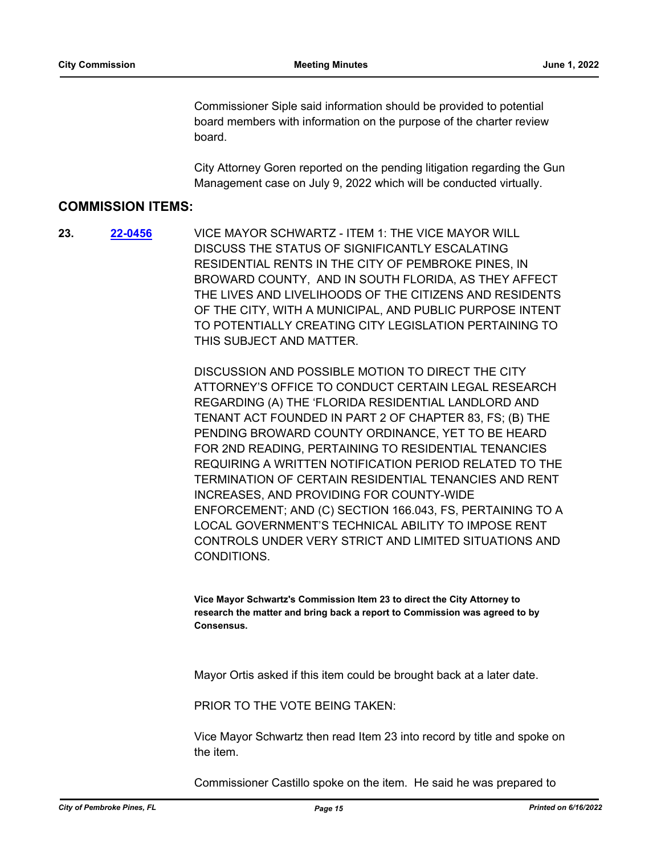Commissioner Siple said information should be provided to potential board members with information on the purpose of the charter review board.

City Attorney Goren reported on the pending litigation regarding the Gun Management case on July 9, 2022 which will be conducted virtually.

### **COMMISSION ITEMS:**

VICE MAYOR SCHWARTZ - ITEM 1: THE VICE MAYOR WILL DISCUSS THE STATUS OF SIGNIFICANTLY ESCALATING RESIDENTIAL RENTS IN THE CITY OF PEMBROKE PINES, IN BROWARD COUNTY, AND IN SOUTH FLORIDA, AS THEY AFFECT THE LIVES AND LIVELIHOODS OF THE CITIZENS AND RESIDENTS OF THE CITY, WITH A MUNICIPAL, AND PUBLIC PURPOSE INTENT TO POTENTIALLY CREATING CITY LEGISLATION PERTAINING TO THIS SUBJECT AND MATTER. **23. [22-0456](http://ppines.legistar.com/gateway.aspx?m=l&id=/matter.aspx?key=15390)**

> DISCUSSION AND POSSIBLE MOTION TO DIRECT THE CITY ATTORNEY'S OFFICE TO CONDUCT CERTAIN LEGAL RESEARCH REGARDING (A) THE 'FLORIDA RESIDENTIAL LANDLORD AND TENANT ACT FOUNDED IN PART 2 OF CHAPTER 83, FS; (B) THE PENDING BROWARD COUNTY ORDINANCE, YET TO BE HEARD FOR 2ND READING, PERTAINING TO RESIDENTIAL TENANCIES REQUIRING A WRITTEN NOTIFICATION PERIOD RELATED TO THE TERMINATION OF CERTAIN RESIDENTIAL TENANCIES AND RENT INCREASES, AND PROVIDING FOR COUNTY-WIDE ENFORCEMENT; AND (C) SECTION 166.043, FS, PERTAINING TO A LOCAL GOVERNMENT'S TECHNICAL ABILITY TO IMPOSE RENT CONTROLS UNDER VERY STRICT AND LIMITED SITUATIONS AND **CONDITIONS**

**Vice Mayor Schwartz's Commission Item 23 to direct the City Attorney to research the matter and bring back a report to Commission was agreed to by Consensus.**

Mayor Ortis asked if this item could be brought back at a later date.

PRIOR TO THE VOTE BEING TAKEN:

Vice Mayor Schwartz then read Item 23 into record by title and spoke on the item.

Commissioner Castillo spoke on the item. He said he was prepared to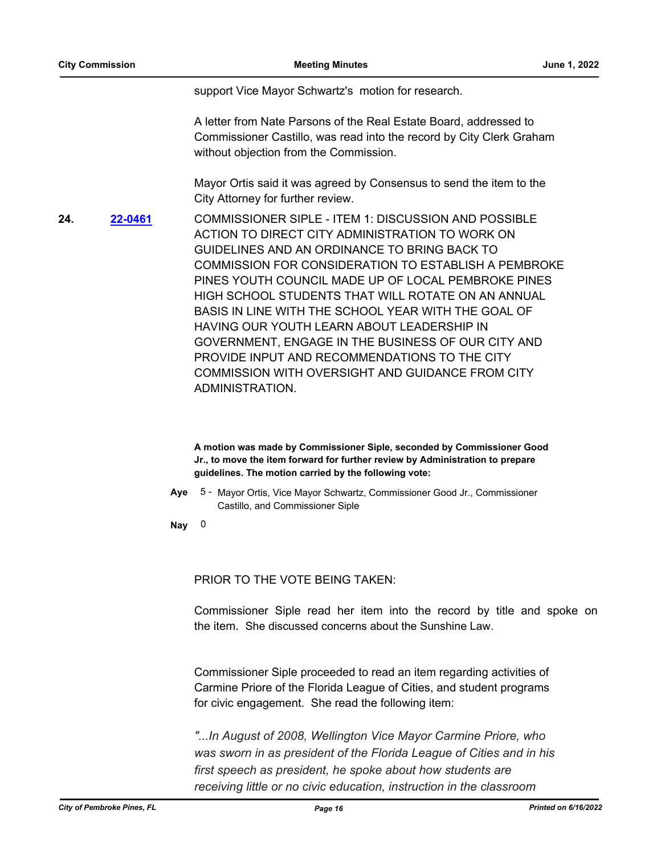support Vice Mayor Schwartz's motion for research.

A letter from Nate Parsons of the Real Estate Board, addressed to Commissioner Castillo, was read into the record by City Clerk Graham without objection from the Commission.

Mayor Ortis said it was agreed by Consensus to send the item to the City Attorney for further review.

COMMISSIONER SIPLE - ITEM 1: DISCUSSION AND POSSIBLE ACTION TO DIRECT CITY ADMINISTRATION TO WORK ON GUIDELINES AND AN ORDINANCE TO BRING BACK TO COMMISSION FOR CONSIDERATION TO ESTABLISH A PEMBROKE PINES YOUTH COUNCIL MADE UP OF LOCAL PEMBROKE PINES HIGH SCHOOL STUDENTS THAT WILL ROTATE ON AN ANNUAL BASIS IN LINE WITH THE SCHOOL YEAR WITH THE GOAL OF HAVING OUR YOUTH LEARN ABOUT LEADERSHIP IN GOVERNMENT, ENGAGE IN THE BUSINESS OF OUR CITY AND PROVIDE INPUT AND RECOMMENDATIONS TO THE CITY COMMISSION WITH OVERSIGHT AND GUIDANCE FROM CITY ADMINISTRATION. **24. [22-0461](http://ppines.legistar.com/gateway.aspx?m=l&id=/matter.aspx?key=15395)**

> **A motion was made by Commissioner Siple, seconded by Commissioner Good Jr., to move the item forward for further review by Administration to prepare guidelines. The motion carried by the following vote:**

Aye 5 - Mayor Ortis, Vice Mayor Schwartz, Commissioner Good Jr., Commissioner Castillo, and Commissioner Siple

**Nay** 0

PRIOR TO THE VOTE BEING TAKEN:

Commissioner Siple read her item into the record by title and spoke on the item. She discussed concerns about the Sunshine Law.

Commissioner Siple proceeded to read an item regarding activities of Carmine Priore of the Florida League of Cities, and student programs for civic engagement. She read the following item:

*"...In August of 2008, Wellington Vice Mayor Carmine Priore, who was sworn in as president of the Florida League of Cities and in his first speech as president, he spoke about how students are receiving little or no civic education, instruction in the classroom*